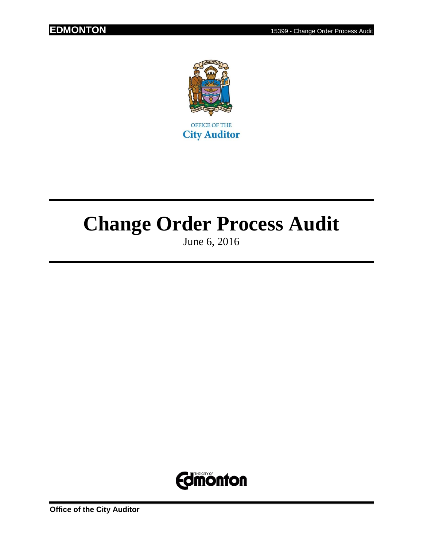

# **Change Order Process Audit**

June 6, 2016

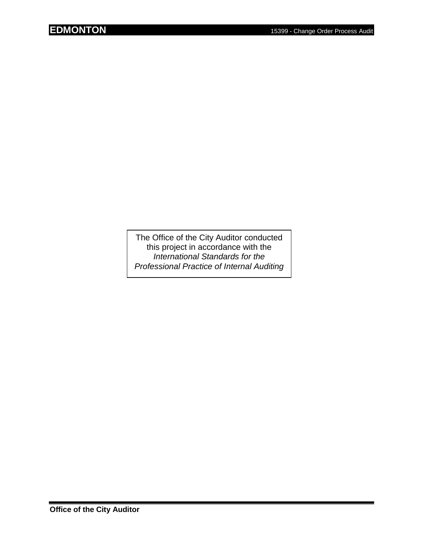The Office of the City Auditor conducted this project in accordance with the *International Standards for the Professional Practice of Internal Auditing*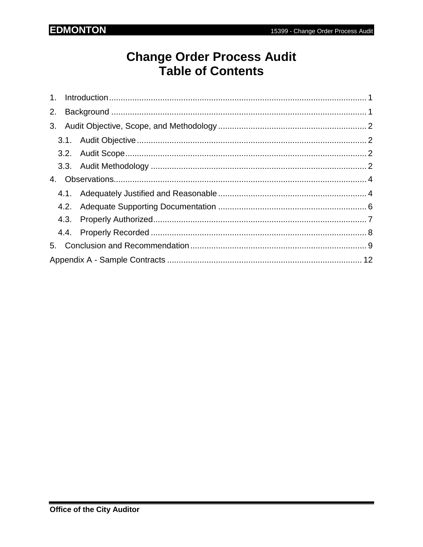# **Change Order Process Audit Table of Contents**

| 2. |  |  |  |  |
|----|--|--|--|--|
|    |  |  |  |  |
|    |  |  |  |  |
|    |  |  |  |  |
|    |  |  |  |  |
|    |  |  |  |  |
|    |  |  |  |  |
|    |  |  |  |  |
|    |  |  |  |  |
|    |  |  |  |  |
|    |  |  |  |  |
|    |  |  |  |  |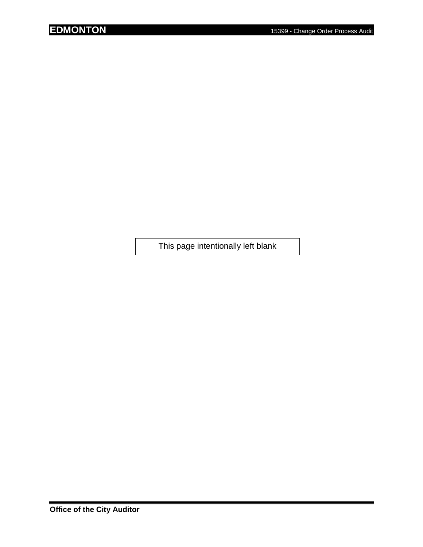This page intentionally left blank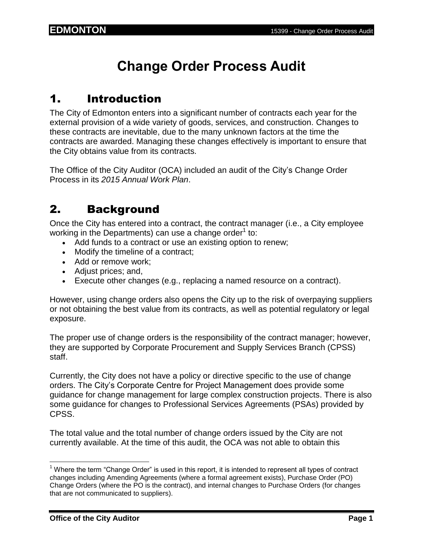# **Change Order Process Audit**

# <span id="page-4-0"></span>1. Introduction

The City of Edmonton enters into a significant number of contracts each year for the external provision of a wide variety of goods, services, and construction. Changes to these contracts are inevitable, due to the many unknown factors at the time the contracts are awarded. Managing these changes effectively is important to ensure that the City obtains value from its contracts.

<span id="page-4-1"></span>The Office of the City Auditor (OCA) included an audit of the City's Change Order Process in its *2015 Annual Work Plan*.

# 2. Background

Once the City has entered into a contract, the contract manager (i.e., a City employee working in the Departments) can use a change order<sup>1</sup> to:

- Add funds to a contract or use an existing option to renew;
- Modify the timeline of a contract;
- Add or remove work;
- Adjust prices; and,
- Execute other changes (e.g., replacing a named resource on a contract).

However, using change orders also opens the City up to the risk of overpaying suppliers or not obtaining the best value from its contracts, as well as potential regulatory or legal exposure.

The proper use of change orders is the responsibility of the contract manager; however, they are supported by Corporate Procurement and Supply Services Branch (CPSS) staff.

Currently, the City does not have a policy or directive specific to the use of change orders. The City's Corporate Centre for Project Management does provide some guidance for change management for large complex construction projects. There is also some guidance for changes to Professional Services Agreements (PSAs) provided by CPSS.

The total value and the total number of change orders issued by the City are not currently available. At the time of this audit, the OCA was not able to obtain this

 $\overline{a}$ 

 $1$  Where the term "Change Order" is used in this report, it is intended to represent all types of contract changes including Amending Agreements (where a formal agreement exists), Purchase Order (PO) Change Orders (where the PO is the contract), and internal changes to Purchase Orders (for changes that are not communicated to suppliers).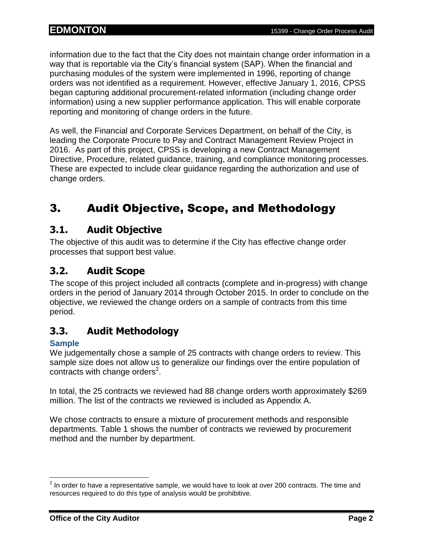information due to the fact that the City does not maintain change order information in a way that is reportable via the City's financial system (SAP). When the financial and purchasing modules of the system were implemented in 1996, reporting of change orders was not identified as a requirement. However, effective January 1, 2016, CPSS began capturing additional procurement-related information (including change order information) using a new supplier performance application. This will enable corporate reporting and monitoring of change orders in the future.

As well, the Financial and Corporate Services Department, on behalf of the City, is leading the Corporate Procure to Pay and Contract Management Review Project in 2016. As part of this project, CPSS is developing a new Contract Management Directive, Procedure, related guidance, training, and compliance monitoring processes. These are expected to include clear guidance regarding the authorization and use of change orders.

# <span id="page-5-0"></span>3. Audit Objective, Scope, and Methodology

# <span id="page-5-1"></span>**3.1. Audit Objective**

The objective of this audit was to determine if the City has effective change order processes that support best value.

# <span id="page-5-2"></span>**3.2. Audit Scope**

The scope of this project included all contracts (complete and in-progress) with change orders in the period of January 2014 through October 2015. In order to conclude on the objective, we reviewed the change orders on a sample of contracts from this time period.

# <span id="page-5-3"></span>**3.3. Audit Methodology**

### **Sample**

We judgementally chose a sample of 25 contracts with change orders to review. This sample size does not allow us to generalize our findings over the entire population of contracts with change orders $2$ .

In total, the 25 contracts we reviewed had 88 change orders worth approximately \$269 million. The list of the contracts we reviewed is included as Appendix A.

We chose contracts to ensure a mixture of procurement methods and responsible departments. Table 1 shows the number of contracts we reviewed by procurement method and the number by department.

 2 In order to have a representative sample, we would have to look at over 200 contracts. The time and resources required to do this type of analysis would be prohibitive.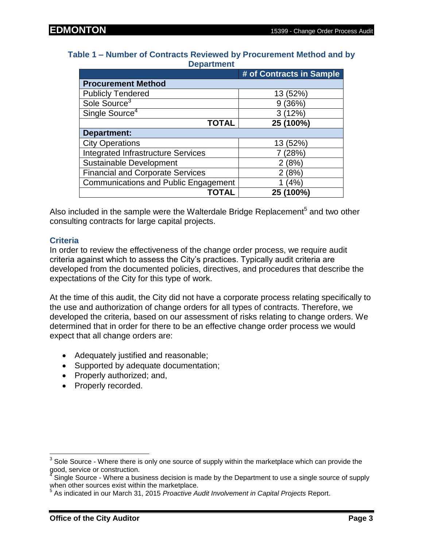#### **Table 1 – Number of Contracts Reviewed by Procurement Method and by Department**

|                                             | # of Contracts in Sample |  |  |  |  |  |
|---------------------------------------------|--------------------------|--|--|--|--|--|
| <b>Procurement Method</b>                   |                          |  |  |  |  |  |
| <b>Publicly Tendered</b>                    | 13 (52%)                 |  |  |  |  |  |
| Sole Source <sup>3</sup>                    | 9(36%)                   |  |  |  |  |  |
| Single Source <sup>4</sup>                  | 3(12%)                   |  |  |  |  |  |
| <b>TOTAL</b>                                | 25 (100%)                |  |  |  |  |  |
| <b>Department:</b>                          |                          |  |  |  |  |  |
| <b>City Operations</b>                      | 13 (52%)                 |  |  |  |  |  |
| <b>Integrated Infrastructure Services</b>   | (28%)                    |  |  |  |  |  |
| Sustainable Development                     | 2(8%)                    |  |  |  |  |  |
| <b>Financial and Corporate Services</b>     | 2(8%)                    |  |  |  |  |  |
| <b>Communications and Public Engagement</b> | (4%)                     |  |  |  |  |  |
|                                             | 25 (100%)                |  |  |  |  |  |

Also included in the sample were the Walterdale Bridge Replacement<sup>5</sup> and two other consulting contracts for large capital projects.

#### **Criteria**

 $\overline{a}$ 

In order to review the effectiveness of the change order process, we require audit criteria against which to assess the City's practices. Typically audit criteria are developed from the documented policies, directives, and procedures that describe the expectations of the City for this type of work.

At the time of this audit, the City did not have a corporate process relating specifically to the use and authorization of change orders for all types of contracts. Therefore, we developed the criteria, based on our assessment of risks relating to change orders. We determined that in order for there to be an effective change order process we would expect that all change orders are:

- Adequately justified and reasonable;
- Supported by adequate documentation;
- Properly authorized; and,
- <span id="page-6-0"></span>• Properly recorded.

 $3$  Sole Source - Where there is only one source of supply within the marketplace which can provide the good, service or construction.<br><sup>4</sup> Single Seuree, Where a buy

Single Source - Where a business decision is made by the Department to use a single source of supply when other sources exist within the marketplace.<br><sup>5</sup>. As indicated in our March 21, 2015 Presettive A

<sup>&</sup>lt;sup>5</sup> As indicated in our March 31, 2015 *Proactive Audit Involvement in Capital Projects* Report.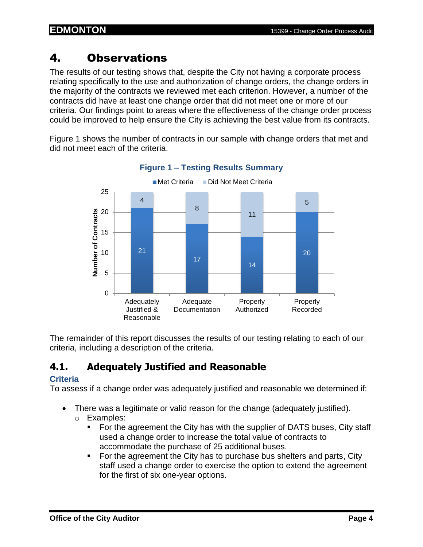# 4. Observations

The results of our testing shows that, despite the City not having a corporate process relating specifically to the use and authorization of change orders, the change orders in the majority of the contracts we reviewed met each criterion. However, a number of the contracts did have at least one change order that did not meet one or more of our criteria. Our findings point to areas where the effectiveness of the change order process could be improved to help ensure the City is achieving the best value from its contracts.

Figure 1 shows the number of contracts in our sample with change orders that met and did not meet each of the criteria.



### **Figure 1 – Testing Results Summary**

The remainder of this report discusses the results of our testing relating to each of our criteria, including a description of the criteria.

## <span id="page-7-0"></span>**4.1. Adequately Justified and Reasonable**

### **Criteria**

To assess if a change order was adequately justified and reasonable we determined if:

- There was a legitimate or valid reason for the change (adequately justified). o Examples:
	- For the agreement the City has with the supplier of DATS buses, City staff used a change order to increase the total value of contracts to accommodate the purchase of 25 additional buses.
	- For the agreement the City has to purchase bus shelters and parts, City staff used a change order to exercise the option to extend the agreement for the first of six one-year options.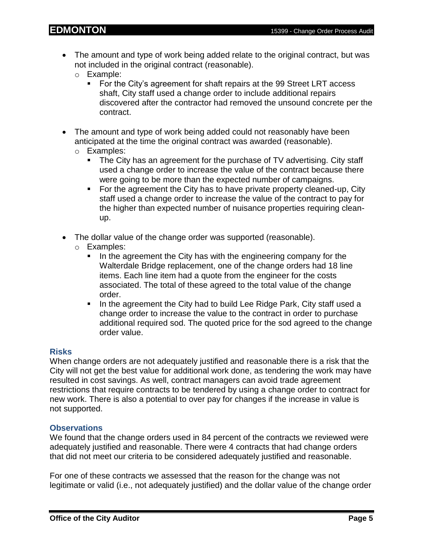- The amount and type of work being added relate to the original contract, but was not included in the original contract (reasonable).
	- o Example:
		- For the City's agreement for shaft repairs at the 99 Street LRT access shaft, City staff used a change order to include additional repairs discovered after the contractor had removed the unsound concrete per the contract.
- The amount and type of work being added could not reasonably have been anticipated at the time the original contract was awarded (reasonable).
	- o Examples:
		- The City has an agreement for the purchase of TV advertising. City staff used a change order to increase the value of the contract because there were going to be more than the expected number of campaigns.
		- For the agreement the City has to have private property cleaned-up, City staff used a change order to increase the value of the contract to pay for the higher than expected number of nuisance properties requiring cleanup.
- The dollar value of the change order was supported (reasonable).
	- o Examples:
		- In the agreement the City has with the engineering company for the Walterdale Bridge replacement, one of the change orders had 18 line items. Each line item had a quote from the engineer for the costs associated. The total of these agreed to the total value of the change order.
		- In the agreement the City had to build Lee Ridge Park, City staff used a change order to increase the value to the contract in order to purchase additional required sod. The quoted price for the sod agreed to the change order value.

#### **Risks**

When change orders are not adequately justified and reasonable there is a risk that the City will not get the best value for additional work done, as tendering the work may have resulted in cost savings. As well, contract managers can avoid trade agreement restrictions that require contracts to be tendered by using a change order to contract for new work. There is also a potential to over pay for changes if the increase in value is not supported.

#### **Observations**

We found that the change orders used in 84 percent of the contracts we reviewed were adequately justified and reasonable. There were 4 contracts that had change orders that did not meet our criteria to be considered adequately justified and reasonable.

For one of these contracts we assessed that the reason for the change was not legitimate or valid (i.e., not adequately justified) and the dollar value of the change order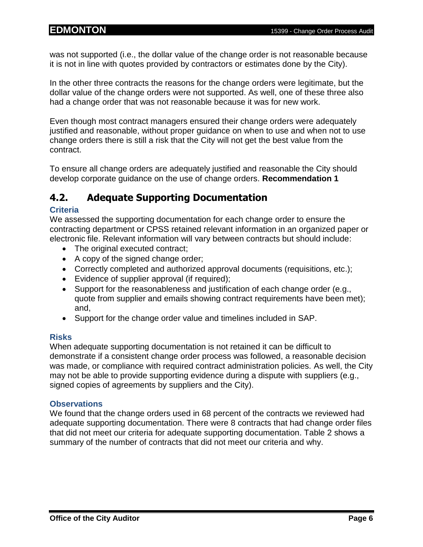was not supported (i.e., the dollar value of the change order is not reasonable because it is not in line with quotes provided by contractors or estimates done by the City).

In the other three contracts the reasons for the change orders were legitimate, but the dollar value of the change orders were not supported. As well, one of these three also had a change order that was not reasonable because it was for new work.

Even though most contract managers ensured their change orders were adequately justified and reasonable, without proper guidance on when to use and when not to use change orders there is still a risk that the City will not get the best value from the contract.

To ensure all change orders are adequately justified and reasonable the City should develop corporate guidance on the use of change orders. **Recommendation 1**

# <span id="page-9-0"></span>**4.2. Adequate Supporting Documentation**

### **Criteria**

We assessed the supporting documentation for each change order to ensure the contracting department or CPSS retained relevant information in an organized paper or electronic file. Relevant information will vary between contracts but should include:

- The original executed contract;
- A copy of the signed change order;
- Correctly completed and authorized approval documents (requisitions, etc.);
- Evidence of supplier approval (if required);
- Support for the reasonableness and justification of each change order (e.g., quote from supplier and emails showing contract requirements have been met); and,
- Support for the change order value and timelines included in SAP.

### **Risks**

When adequate supporting documentation is not retained it can be difficult to demonstrate if a consistent change order process was followed, a reasonable decision was made, or compliance with required contract administration policies. As well, the City may not be able to provide supporting evidence during a dispute with suppliers (e.g., signed copies of agreements by suppliers and the City).

### **Observations**

We found that the change orders used in 68 percent of the contracts we reviewed had adequate supporting documentation. There were 8 contracts that had change order files that did not meet our criteria for adequate supporting documentation. Table 2 shows a summary of the number of contracts that did not meet our criteria and why.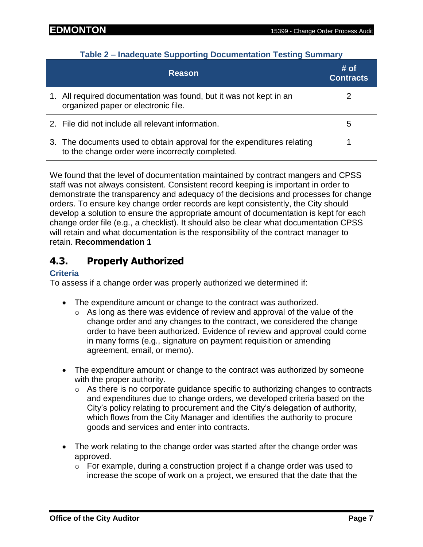#### **Table 2 – Inadequate Supporting Documentation Testing Summary**

| <b>Reason</b>                                                                                                             | # of<br><b>Contracts</b> |
|---------------------------------------------------------------------------------------------------------------------------|--------------------------|
| 1. All required documentation was found, but it was not kept in an<br>organized paper or electronic file.                 |                          |
| 2. File did not include all relevant information.                                                                         | 5                        |
| 3. The documents used to obtain approval for the expenditures relating<br>to the change order were incorrectly completed. |                          |

We found that the level of documentation maintained by contract mangers and CPSS staff was not always consistent. Consistent record keeping is important in order to demonstrate the transparency and adequacy of the decisions and processes for change orders. To ensure key change order records are kept consistently, the City should develop a solution to ensure the appropriate amount of documentation is kept for each change order file (e.g., a checklist). It should also be clear what documentation CPSS will retain and what documentation is the responsibility of the contract manager to retain. **Recommendation 1**

# <span id="page-10-0"></span>**4.3. Properly Authorized**

#### **Criteria**

To assess if a change order was properly authorized we determined if:

- The expenditure amount or change to the contract was authorized.
	- o As long as there was evidence of review and approval of the value of the change order and any changes to the contract, we considered the change order to have been authorized. Evidence of review and approval could come in many forms (e.g., signature on payment requisition or amending agreement, email, or memo).
- The expenditure amount or change to the contract was authorized by someone with the proper authority.
	- o As there is no corporate guidance specific to authorizing changes to contracts and expenditures due to change orders, we developed criteria based on the City's policy relating to procurement and the City's delegation of authority, which flows from the City Manager and identifies the authority to procure goods and services and enter into contracts.
- The work relating to the change order was started after the change order was approved.
	- $\circ$  For example, during a construction project if a change order was used to increase the scope of work on a project, we ensured that the date that the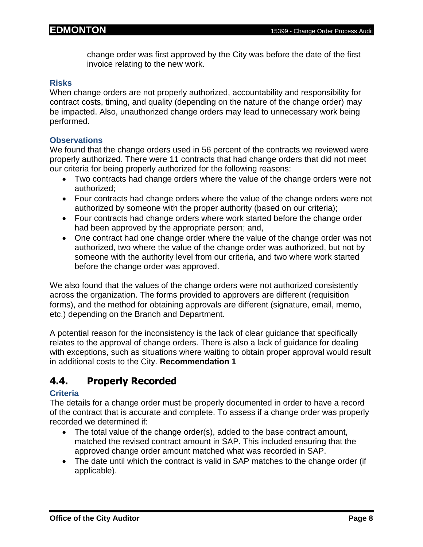change order was first approved by the City was before the date of the first invoice relating to the new work.

#### **Risks**

When change orders are not properly authorized, accountability and responsibility for contract costs, timing, and quality (depending on the nature of the change order) may be impacted. Also, unauthorized change orders may lead to unnecessary work being performed.

#### **Observations**

We found that the change orders used in 56 percent of the contracts we reviewed were properly authorized. There were 11 contracts that had change orders that did not meet our criteria for being properly authorized for the following reasons:

- Two contracts had change orders where the value of the change orders were not authorized;
- Four contracts had change orders where the value of the change orders were not authorized by someone with the proper authority (based on our criteria);
- Four contracts had change orders where work started before the change order had been approved by the appropriate person; and,
- One contract had one change order where the value of the change order was not authorized, two where the value of the change order was authorized, but not by someone with the authority level from our criteria, and two where work started before the change order was approved.

We also found that the values of the change orders were not authorized consistently across the organization. The forms provided to approvers are different (requisition forms), and the method for obtaining approvals are different (signature, email, memo, etc.) depending on the Branch and Department.

A potential reason for the inconsistency is the lack of clear guidance that specifically relates to the approval of change orders. There is also a lack of guidance for dealing with exceptions, such as situations where waiting to obtain proper approval would result in additional costs to the City. **Recommendation 1**

## <span id="page-11-0"></span>**4.4. Properly Recorded**

#### **Criteria**

The details for a change order must be properly documented in order to have a record of the contract that is accurate and complete. To assess if a change order was properly recorded we determined if:

- The total value of the change order(s), added to the base contract amount, matched the revised contract amount in SAP. This included ensuring that the approved change order amount matched what was recorded in SAP.
- The date until which the contract is valid in SAP matches to the change order (if applicable).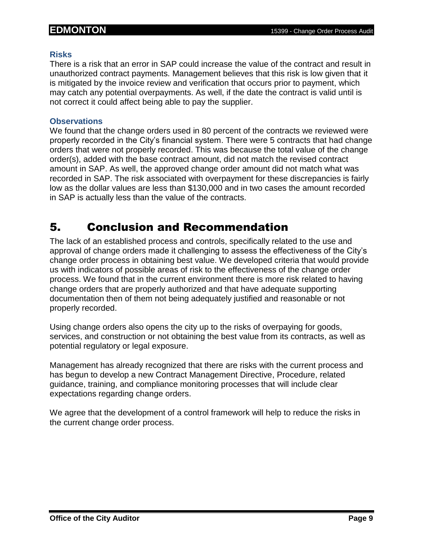#### **Risks**

There is a risk that an error in SAP could increase the value of the contract and result in unauthorized contract payments. Management believes that this risk is low given that it is mitigated by the invoice review and verification that occurs prior to payment, which may catch any potential overpayments. As well, if the date the contract is valid until is not correct it could affect being able to pay the supplier.

#### **Observations**

We found that the change orders used in 80 percent of the contracts we reviewed were properly recorded in the City's financial system. There were 5 contracts that had change orders that were not properly recorded. This was because the total value of the change order(s), added with the base contract amount, did not match the revised contract amount in SAP. As well, the approved change order amount did not match what was recorded in SAP. The risk associated with overpayment for these discrepancies is fairly low as the dollar values are less than \$130,000 and in two cases the amount recorded in SAP is actually less than the value of the contracts.

# <span id="page-12-0"></span>5. Conclusion and Recommendation

The lack of an established process and controls, specifically related to the use and approval of change orders made it challenging to assess the effectiveness of the City's change order process in obtaining best value. We developed criteria that would provide us with indicators of possible areas of risk to the effectiveness of the change order process. We found that in the current environment there is more risk related to having change orders that are properly authorized and that have adequate supporting documentation then of them not being adequately justified and reasonable or not properly recorded.

Using change orders also opens the city up to the risks of overpaying for goods, services, and construction or not obtaining the best value from its contracts, as well as potential regulatory or legal exposure.

Management has already recognized that there are risks with the current process and has begun to develop a new Contract Management Directive, Procedure, related guidance, training, and compliance monitoring processes that will include clear expectations regarding change orders.

We agree that the development of a control framework will help to reduce the risks in the current change order process.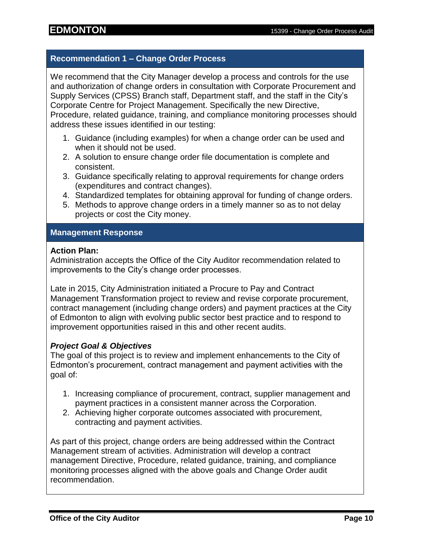### **Recommendation 1 – Change Order Process**

We recommend that the City Manager develop a process and controls for the use and authorization of change orders in consultation with Corporate Procurement and Supply Services (CPSS) Branch staff, Department staff, and the staff in the City's Corporate Centre for Project Management. Specifically the new Directive, Procedure, related guidance, training, and compliance monitoring processes should address these issues identified in our testing:

- 1. Guidance (including examples) for when a change order can be used and when it should not be used.
- 2. A solution to ensure change order file documentation is complete and consistent.
- 3. Guidance specifically relating to approval requirements for change orders (expenditures and contract changes).
- 4. Standardized templates for obtaining approval for funding of change orders.
- 5. Methods to approve change orders in a timely manner so as to not delay projects or cost the City money.

#### **Management Response**

#### **Action Plan:**

Administration accepts the Office of the City Auditor recommendation related to improvements to the City's change order processes.

Late in 2015, City Administration initiated a Procure to Pay and Contract Management Transformation project to review and revise corporate procurement, contract management (including change orders) and payment practices at the City of Edmonton to align with evolving public sector best practice and to respond to improvement opportunities raised in this and other recent audits.

#### *Project Goal & Objectives*

The goal of this project is to review and implement enhancements to the City of Edmonton's procurement, contract management and payment activities with the goal of:

- 1. Increasing compliance of procurement, contract, supplier management and payment practices in a consistent manner across the Corporation.
- 2. Achieving higher corporate outcomes associated with procurement, contracting and payment activities.

As part of this project, change orders are being addressed within the Contract Management stream of activities. Administration will develop a contract management Directive, Procedure, related guidance, training, and compliance monitoring processes aligned with the above goals and Change Order audit recommendation.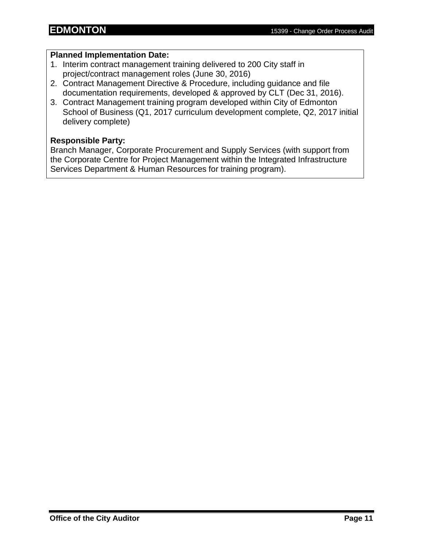### **Planned Implementation Date:**

- 1. Interim contract management training delivered to 200 City staff in project/contract management roles (June 30, 2016)
- 2. Contract Management Directive & Procedure, including guidance and file documentation requirements, developed & approved by CLT (Dec 31, 2016).
- 3. Contract Management training program developed within City of Edmonton School of Business (Q1, 2017 curriculum development complete, Q2, 2017 initial delivery complete)

#### **Responsible Party:**

Branch Manager, Corporate Procurement and Supply Services (with support from the Corporate Centre for Project Management within the Integrated Infrastructure Services Department & Human Resources for training program).